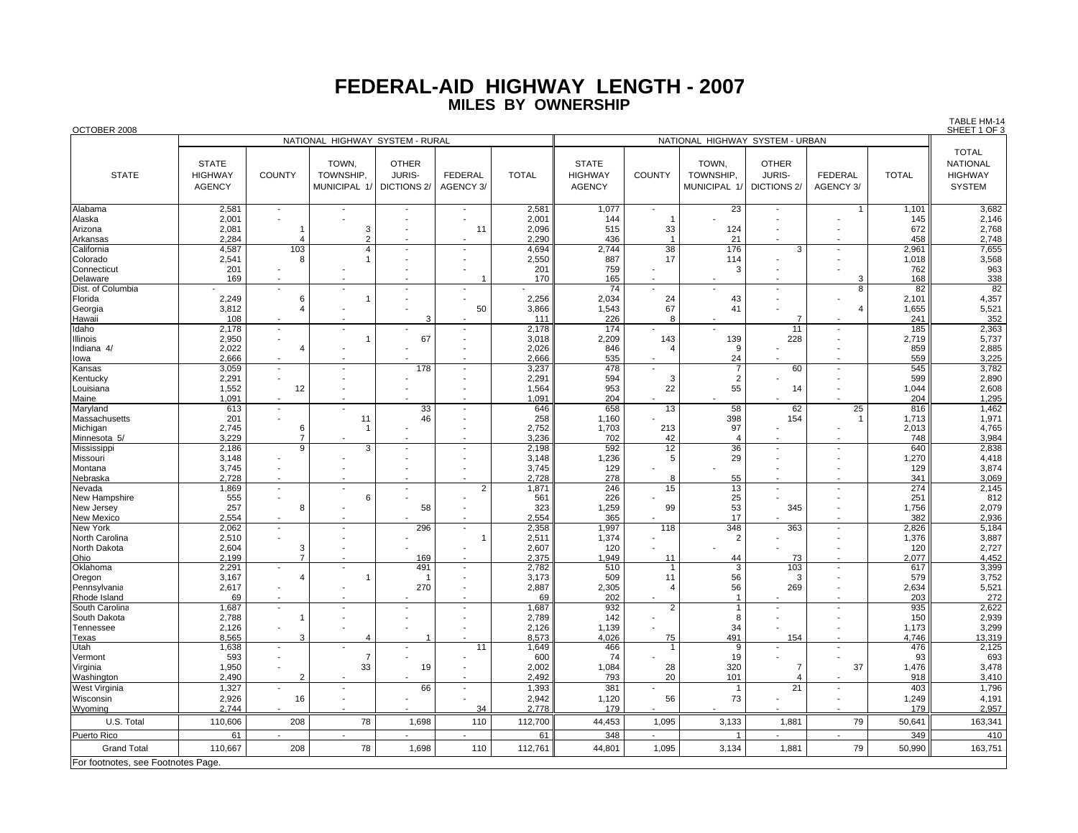## **FEDERAL-AID HIGHWAY LENGTH - 200 7 MILES BY OWNERSHIP**

| OCTOBER 2008<br>NATIONAL HIGHWAY SYSTEM - URBAN |                                 |                          |                                          |                    |                          |                |                |                |                                  |                          | SHEET 1 OF 3   |              |                                             |
|-------------------------------------------------|---------------------------------|--------------------------|------------------------------------------|--------------------|--------------------------|----------------|----------------|----------------|----------------------------------|--------------------------|----------------|--------------|---------------------------------------------|
|                                                 | NATIONAL HIGHWAY SYSTEM - RURAL |                          |                                          |                    |                          |                |                |                |                                  |                          |                |              |                                             |
|                                                 |                                 |                          |                                          |                    |                          |                |                |                |                                  |                          |                |              | <b>TOTAL</b>                                |
|                                                 | <b>STATE</b>                    |                          | TOWN,                                    | <b>OTHER</b>       |                          |                | <b>STATE</b>   |                | TOWN,                            | <b>OTHER</b>             |                |              | <b>NATIONAL</b>                             |
| <b>STATE</b>                                    | <b>HIGHWAY</b>                  | <b>COUNTY</b>            | TOWNSHIP,                                | <b>JURIS-</b>      | <b>FEDERAL</b>           | <b>TOTAL</b>   | <b>HIGHWAY</b> | <b>COUNTY</b>  | TOWNSHIP,                        | <b>JURIS-</b>            | <b>FEDERAL</b> | <b>TOTAL</b> | <b>HIGHWAY</b>                              |
|                                                 | <b>AGENCY</b>                   |                          | MUNICIPAL 1/                             | <b>DICTIONS 2/</b> | AGENCY 3/                |                | <b>AGENCY</b>  |                | MUNICIPAL 1/                     | DICTIONS 2/              | AGENCY 3/      |              | <b>SYSTEM</b>                               |
|                                                 |                                 |                          |                                          |                    |                          |                |                |                |                                  |                          |                |              |                                             |
| Alabama                                         | 2,581                           | $\blacksquare$           |                                          |                    |                          | 2,581          | 1,077          |                | 23                               |                          |                | 1,101        | 3,682                                       |
| Alaska                                          | 2,001                           |                          |                                          |                    |                          | 2,001          | 144            |                |                                  |                          |                | 145          | 2,146                                       |
| Arizona                                         | 2,081                           |                          | 3                                        | $\overline{a}$     | 11                       | 2,096          | 515            | 33             | 124                              |                          |                | 672          | 2,768                                       |
| Arkansas                                        | 2,284                           |                          | $\overline{2}$                           |                    |                          | 2,290          | 436            | $\overline{1}$ | 21                               |                          |                | 458          | 2,748                                       |
| California                                      | 4,587                           | 103                      | $\overline{4}$                           | $\overline{a}$     |                          | 4,694          | 2.744          | 38             | 176                              | 3                        |                | 2,961        | 7,655                                       |
| Colorado                                        | 2,541                           | 8                        |                                          |                    |                          | 2,550          | 887            | 17             | 114                              |                          |                | 1,018        | 3,568                                       |
| Connecticut                                     | 201                             |                          |                                          |                    |                          | 201            | 759            |                | 3                                |                          |                | 762          | 963                                         |
| Delaware                                        | 169                             |                          |                                          |                    |                          | 170            | 165            |                |                                  |                          | 3              | 168          | $\frac{338}{82}$                            |
| Dist. of Columbia                               |                                 | $\blacksquare$           | $\overline{\phantom{a}}$                 |                    |                          |                | 74             |                |                                  |                          | 8              | 82           |                                             |
| Florida                                         | 2,249                           | 6                        | $\mathbf{1}$                             |                    |                          | 2,256          | 2,034          | 24             | 43                               |                          |                | 2,101        | 4,357                                       |
| Georgia                                         | 3,812                           | $\overline{4}$           |                                          |                    | 50                       | 3,866          | 1,543          | 67             | 41                               |                          | $\overline{4}$ | 1,655        | $\begin{array}{r} 5,521 \\ 352 \end{array}$ |
| Hawaii                                          | 108                             |                          |                                          | 3                  |                          | 111            | 226            | 8              |                                  | $\overline{7}$           |                | 241          |                                             |
| Idaho                                           | 2,178                           | $\blacksquare$           |                                          |                    |                          | 2,178          | 174            |                |                                  | 11                       |                | 185          | 2,363                                       |
| Illinois                                        | 2,950                           | $\sim$                   | $\overline{1}$                           | 67                 |                          | 3,018          | 2,209          | 143            | 139                              | 228                      |                | 2,719        | 5,737                                       |
| Indiana 4/                                      | 2,022                           | $\overline{4}$           |                                          |                    |                          | 2,026          | 846            | 4              | 9                                |                          |                | 859          | 2,885                                       |
| lowa                                            | 2,666                           |                          |                                          |                    |                          | 2,666          | 535            |                | 24                               |                          |                | 559          | 3,225                                       |
| Kansas                                          | 3,059                           | $\overline{\phantom{a}}$ |                                          | 178                |                          | 3,237          | 478<br>594     |                | $\overline{7}$<br>$\overline{2}$ | 60                       |                | 545          | 3,782                                       |
| Kentucky                                        | 2,291                           |                          |                                          |                    |                          | 2,291          | 953            | 3              | 55                               |                          |                | 599          | 2,890                                       |
| Louisiana                                       | 1,552<br>1,091                  | 12                       |                                          |                    |                          | 1,564<br>1,091 | 204            | 22             |                                  | 14                       |                | 1,044<br>204 | 2,608<br>1,295                              |
| Maine<br>Maryland                               | 613                             |                          | $\overline{\phantom{a}}$                 | 33                 |                          | 646            | 658            | 13             | 58                               | 62                       | 25             | 816          | 1,462                                       |
| Massachusetts                                   | 201                             |                          | 11                                       | 46                 |                          | 258            | 1,160          |                | 398                              | 154                      | $\mathbf 1$    | 1,713        | 1,971                                       |
| Michigan                                        | 2,745                           | 6                        |                                          |                    |                          | 2,752          | 1,703          | 213            | 97                               |                          |                | 2,013        | 4,765                                       |
| Minnesota 5/                                    | 3,229                           | $\overline{7}$           |                                          |                    |                          | 3,236          | 702            | 42             | $\overline{4}$                   |                          |                | 748          | 3,984                                       |
| Mississippi                                     | 2,186                           | $\overline{9}$           | 3                                        |                    |                          | 2,198          | 592            | 12             | 36                               | $\overline{\phantom{a}}$ |                | 640          | 2,838                                       |
| Missouri                                        | 3,148                           |                          |                                          |                    |                          | 3,148          | 1,236          | 5              | 29                               |                          |                | 1,270        | 4,418                                       |
| Montana                                         | 3,745                           |                          |                                          |                    |                          | 3,745          | 129            |                |                                  |                          |                | 129          | 3,874                                       |
| Nebraska                                        | 2,728                           |                          |                                          |                    |                          | 2,728          | 278            | 8              | 55                               |                          |                | 341          | 3,069                                       |
| Nevada                                          | 1,869                           | $\mathbf{r}$             |                                          |                    | $\overline{2}$           | 1,871          | 246            | 15             | 13                               | $\overline{a}$           |                | 274          | 2,145                                       |
| New Hampshire                                   | 555                             |                          | 6                                        |                    |                          | 561            | 226            |                | 25                               |                          |                | 251          | 812                                         |
| New Jersey                                      | 257                             | 8                        |                                          | 58                 |                          | 323            | 1,259          | 99             | 53                               | 345                      |                | 1,756        | 2,079                                       |
| New Mexico                                      | 2,554                           |                          |                                          |                    |                          | 2,554          | 365            |                | 17                               |                          |                | 382          | 2,936                                       |
| New York                                        | 2,062                           |                          |                                          | 296                | $\overline{\phantom{a}}$ | 2,358          | 1,997          | 118            | 348                              | 363                      |                | 2,826        | 5,184                                       |
| North Carolina                                  | 2,510                           |                          |                                          |                    |                          | 2,511          | 1,374          |                | $\overline{2}$                   |                          |                | 1,376        | 3,887                                       |
| North Dakota                                    | 2,604                           | 3                        |                                          |                    |                          | 2,607          | 120            |                |                                  |                          |                | 120          | 2,727                                       |
| Ohio                                            | 2.199                           | $\overline{7}$           |                                          | 169                |                          | 2,375          | 1,949          | 11             | 44                               | 73                       |                | 2,077        | 4,452                                       |
| Oklahoma                                        | 2,291                           |                          | $\overline{\phantom{a}}$<br>$\mathbf{1}$ | 491                | $\overline{\phantom{a}}$ | 2,782          | 510            |                | 3                                | 103                      | $\blacksquare$ | 617          | 3,399<br>3,752                              |
| Oregon                                          | 3,167                           | 4<br>$\sim$              |                                          | 270                |                          | 3,173          | 509            | 11             | 56<br>56                         | 3                        |                | 579          |                                             |
| Pennsylvania<br>Rhode Island                    | 2,617<br>69                     |                          |                                          |                    |                          | 2,887<br>69    | 2,305<br>202   | $\overline{4}$ | $\overline{1}$                   | 269                      |                | 2,634<br>203 | $5,521$<br>272                              |
| South Carolina                                  | 1,687                           | $\blacksquare$           |                                          |                    |                          | 1,687          | 932            | 2              | $\mathbf{1}$                     |                          |                | 935          | 2,622                                       |
| South Dakota                                    | 2,788                           |                          |                                          |                    |                          | 2,789          | 142            |                | 8                                |                          |                | 150          |                                             |
| Tennessee                                       | 2,126                           |                          |                                          |                    |                          | 2,126          | 1,139          |                | 34                               |                          |                | 1,173        | 2,939<br>3,299                              |
| Texas                                           | 8,565                           | 3                        | $\overline{4}$                           |                    |                          | 8,573          | 4,026          | 75             | 491                              | 154                      |                | 4,746        | 13,319                                      |
| Utah                                            | 1,638                           |                          |                                          |                    | 11                       | 1,649          | 466            |                | 9                                |                          |                | 476          |                                             |
| Vermont                                         | 593                             |                          | $\overline{7}$                           |                    |                          | 600            | 74             |                | 19                               |                          |                | 93           | 2,125<br>693                                |
| Virginia                                        | 1,950                           |                          | 33                                       | 19                 |                          | 2,002          | 1,084          | 28             | 320                              | $\overline{7}$           | 37             | 1,476        | 3,478                                       |
| Washington                                      | 2.490                           | $\mathcal{P}$            |                                          |                    |                          | 2,492          | 793            | 20             | 101                              | $\overline{4}$           |                | 918          | 3,410                                       |
| West Virginia                                   | 1,327                           |                          |                                          | 66                 |                          | 1,393          | 381            |                | -1                               | 21                       |                | 403          | 1,796                                       |
| Wisconsin                                       | 2,926                           | 16                       | $\overline{a}$                           |                    |                          | 2,942          | 1,120          | 56             | 73                               |                          |                | 1,249        | 4,191                                       |
| Wyoming                                         | 2.744                           |                          |                                          |                    | 34                       | 2.778          | 179            |                |                                  |                          |                | 179          | 2,957                                       |
| U.S. Total                                      | 110,606                         | 208                      | 78                                       | 1,698              | 110                      | 112,700        | 44,453         | 1,095          | 3,133                            | 1,881                    | 79             | 50,641       | 163,341                                     |
| Puerto Rico                                     | 61                              |                          |                                          |                    |                          | 61             | 348            |                | $\mathbf{1}$                     |                          |                | 349          | 410                                         |
| <b>Grand Total</b>                              | 110,667                         | 208                      | 78                                       | 1,698              | 110                      | 112,761        | 44,801         | 1,095          | 3,134                            | 1,881                    | 79             | 50,990       | 163,751                                     |
| For footnotes, see Footnotes Page.              |                                 |                          |                                          |                    |                          |                |                |                |                                  |                          |                |              |                                             |

TABLE HM-14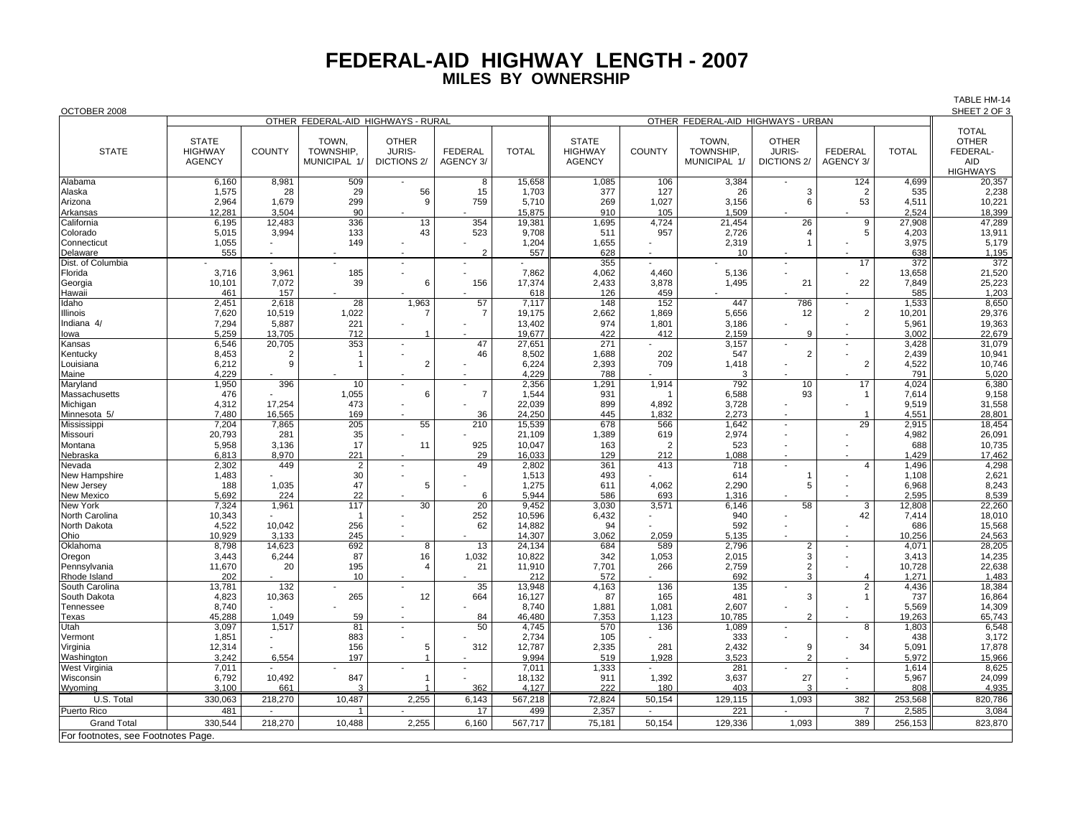## **FEDERAL-AID HIGHWAY LENGTH - 2007MILES BY OWNERSHIP**

TABLE HM-14

SHEET 2 OF 3 OCTOBER 2008 SHEET 2 OF 3 OTHER FEDERAL-AID HIGHWAYS - RURAL **OTHER FEDERAL-AID HIGHWAYS - URBAN** TOTAL**OTHER** STATE | | TOWN, | OTHER | | | || STATE | | TOWN, | OTHER | | || OTHER STATE | HIGHWAY COUNTY Y | TOWNSHIP, | JURIS- | FEDERAL | TOTAL || HIGHWAY | COUNTY | TOWNSHIP, | JURIS- | FEDERAL | TOTAL || FEDERAL-AGENCY MUNICIPAL 1/ DICTIONS 2/ AGENCY 3/ AGENCY MUNICIPAL 1/ DICTIONS 2/ AGENCY 3/ AID**HIGHWAYS** 20.357 Alabama 6,160 8,981 509 - 8 15,658 1,085 106 3,384 - 124 4,699 20,357 Alaska | 1,575 | 28 | 29 | 56 | 15 | 1,703 || 377 | 127 | 26 | 3 | 2 | 535 || 2,238 Arizona | 2,964 |1,679 | 299 | 9 | 759 | 5,710 || 269 | 1,027 | 3,156 | 6 | 53 | 4,511 || 10,221 Arkansas | 12,281 3,504 90 - - 1 - 15,875 910 105 1,509 - - - 2,524 18,399 California 6,195 12,483 336 13 354 19,381 1,695 4,724 21,454 26 9 27,908 47,289 Colorado 5,015 | 3,994 | 133 | 43 | 5708 || 57 | 2,726 | 4 | 5 | 4,203 || 13,911 Connecticut 1,055 - 149 1,055 - | 149 - | - | 1,204 || 1,655 - | 2,319 | 1 - | 3,975 || 5,179 Delaware 555 | - | - | - | 2 | 557 || 628 | - | - | - | - | 638 || 1,195 Dist. of Columbia | - | - | - | - | - | - | 372 || 372 || - 372 || 372 || 372 || - | 372 || 372 || - | 372 || Florida 3,716 3,961 185 - - 7,862 4,062 4,460 5,136 - - 13,658 21,520 Georgia | 10,101 | 7,072 | 39 | 6 | 156 | 17,374 || 2,433 | 3,878 | 1,495 | 21 | 22 | 7,849 || 25,223 Hawaii 461 157 - - - 618 126 459 - - - 585 1,203 Idaho 2,451 2,618 28 1,963 57 7,117 148 152 447 786 - 1,533 8,650 Illinois 7,620 | 10,519 | 1,022 | 7 | 19,175 || 2,662 | 1,869 | 5,656 | 12 | 2 | 10,201 || 29,376 Indiana 4/ 7,294 | 5,887 | 221 | - | 13,402 || 974 | 1,801 | 3,186 | - | 5,961 || 19,363 Iowa 5,259 13,705 712 1 - 19,677 422 412 2,159 9 - 3,002 22,679 Kansas 6,546 20,705 353 - 47 27,651 271 - 3,157 - - 3,428 31,079 Kentucky 8,453 | 2 | 1 | - | 46 | 8,502 || 1,688 | 202 | 547 | 2 | - | 2,439 || 10,941 Louisiana 6,212 9 1 2 - 6,224 2,393 709 1,418 - 2 4,522 10,746 1910 - 1930 - 194,229 - 194,229 - 194,229 - 194,229 - 194,229 - 194,229 - 194,229 - 194,229 - 194,229 - 194,22 Maryland 1,950 | 396 | 10 | - | - | 2,356 || 1,291 | 1,914 | 792 | 10 | 17 | 4,024 || 6,380 Massachusetts | 476 - | 1,055 | 6 7 1,544 931 1 6,588 93 1 1 7,614 9,158 Michigan 4,312 17,254 473 - - 22,039 899 4,892 3,728 - - 9,519 31,558 Minnesota 5/ 7,480 | 16,565 | 169 | - 36 | 24,250 || 445 | 1,832 | 2,273 | - | 1 | 4,551 || 28,801 Mississippi 7,204 | 7,865 | 205 | 55 | 210 | 15,539 || 678 | 1,642 | 29 | 2,915 || 18,454 Missouri 20,793 281 35 - - 21,109 1,389 619 2,974 - - 4,982 26,091 Montana 5,958 3,136 17 11 925 10,047 163 2 523 - - 688 10,735 Nebraska | 6,813 8,970 | 221 - | 29 16,033 || 129 212 1,088 - | - | 1,429 17,462 Nevada 2,302 449 2 - 49 2,802 361 413 718 - 4 1,496 4,298 New Hampshire | 1,483 - | 30 - | - | 1,513 || 493 - | 614 1 - | 1,108 || 2,621 New Jersey 188 | 1,035 | 47 | 5 | - | 1,275 || 611 | 4,062 | 2,290 | 5 | - | 6,968 || 8,243 New Mexico 5,692 | 224 | 22 | - 6 | 5,944 || 586 | 693 | 1,316 | - | - | 2,595 || 8,539 New York 7,324 | 1,961 | 117 | 30 | 20 | 9,452 || 3,030 | 3,571 | 6,146 | 58 | 3 | 12,808 || 22,260 North Carolina 10,343 | - 1 | - | 252 | 10,596 || 6,432 | - | 940 | - | 42 | 7,414 || 18,010 North Dakota 4,522 | 10,042 | 256 | 62 | 14,882 || 592 | | 686 || 15,568 Ohio 10,929 3,133 245 - - 14,307 3,062 2,059 5,135 - - 10,256 24,563 Oklahoma 8,798 14,623 692 8 13 24,134 684 589 2,796 2 - 1 4,071 28,205 Oregon | 3,443 | 6,244 | 87 | 16 | 1,032 | 10,822 || 342 | 1,053 | 2,015 | 3 | - | 3,413 || 14,235 Pennsylvania | 11,670 | 20 | 195 | 4 | 21 11,910 || 7,701 | 266 | 2,759 | 2 |- | 10,728 || 22,638 Rhode Island 202 | - 10 | - | - | 212 || 572 | - | 692 | 3 | 4 | 1,271 || 1,483 South Carolina | 13,781 | 132 | - | - | 35 | 13,948 || 136 | 135 | - | 2 | 4,436 || 18,384 South Dakota 4,823 | 10,363 | 265 | 12 | 664 | 16,127 || 165 | 481 | 3 | 1 | 737 || 16,864 Tennessee 8,740 - - - - 8,740 1,881 1,081 2,607 - - 5,569 14,309 Texas | 45,288 | 1,049 | 59 | - | 84 | 46,480 || 7,353 | 1,123 | 10,785 | 2 | - | 19,263 || 65,743 Utah 3,097 1,517 81 - 50 4,745 570 136 1,089 - 8 1,803 6,548 Vermont 1,851 - 883 1,851 - | 883 - | - | 2,734 || 105 | - | 333 | - | - | 438 || 3,172 Virginia 12,314 - 156 5 312 12,787 2,335 281 2,432 9 34 5,091 17,878 Washington 3,242 | 6,554 | 197 | 1 | - 9,994 || 519 | 1,928 | 3,523 | 2 | - | 5,972 || 15,966 West Virginia 7,011 | - | - | - | - 7,011 || 1,333 | - | 281 | - | - | 1,614 || 8,625 Wisconsin 6,792 | 10,492 | 847 | 1 | - | 18,132 || 911 | 1,392 | 3,637 | 27 | - | 5,967 || 24,099 <u>Wyoming 3,100 661 31 1 362 4,127 222 180 403 31 - 808 4,935</u> U.S. Total | 330,063 | 218,270 | 10,487 | 2,255 | 6,143 |567,218 || 72,824 |50,154 | 129,115 | 1,093 | 382 253,568 || 820,786 Puerto Rico 481 | - 1 | - | 17 | 499 || 2,357 | - | 221 | - 7 | 2,585 || 3,084 Grand Total | 330,544 | 218,270 | 10,488 | 2,255 | 6,160 | 567,717 || 75,181 | 10,545 | 10,93 | 1,093 | 389 | 256,153 || 823,870 For footnotes, see Footnotes Page.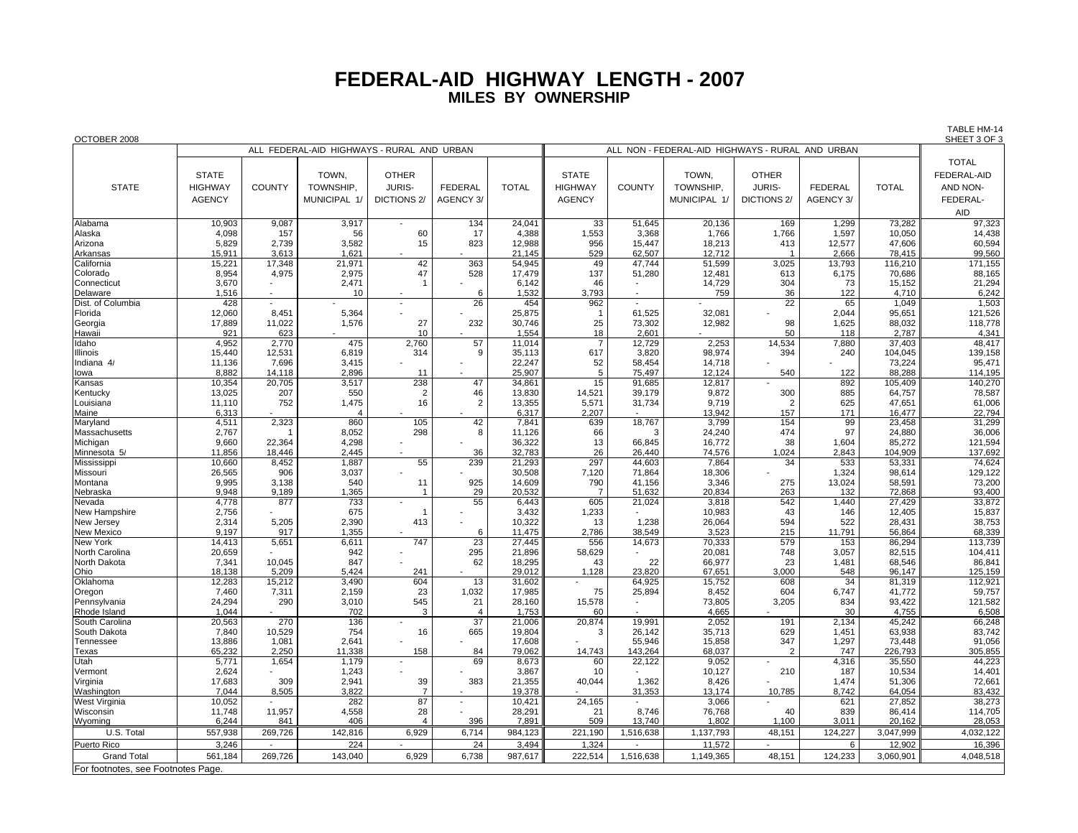## **FEDERAL-AID HIGHWAY LENGTH - 200 7 MILES BY OWNERSHIP**

| OCTOBER 2008                       |                                            |               |                |                |                |              |                |                                                     |              |                    |                |              | SHEET 3 OF 3      |  |
|------------------------------------|--------------------------------------------|---------------|----------------|----------------|----------------|--------------|----------------|-----------------------------------------------------|--------------|--------------------|----------------|--------------|-------------------|--|
|                                    | ALL FEDERAL-AID HIGHWAYS - RURAL AND URBAN |               |                |                |                |              |                | ALL NON - FEDERAL-AID HIGHWAYS - RURAL<br>AND URBAN |              |                    |                |              |                   |  |
|                                    |                                            |               |                |                |                |              |                |                                                     |              |                    |                |              | <b>TOTAL</b>      |  |
|                                    | <b>STATE</b>                               |               | TOWN,          | <b>OTHER</b>   |                |              | <b>STATE</b>   |                                                     | TOWN,        | <b>OTHER</b>       |                |              | FEDERAL-AID       |  |
|                                    |                                            |               |                |                |                |              |                |                                                     |              |                    |                |              |                   |  |
| <b>STATE</b>                       | <b>HIGHWAY</b>                             | <b>COUNTY</b> | TOWNSHIP.      | <b>JURIS-</b>  | <b>FEDERAL</b> | <b>TOTAL</b> | <b>HIGHWAY</b> | COUNTY                                              | TOWNSHIP,    | <b>JURIS-</b>      | <b>FEDERAL</b> | <b>TOTAL</b> | AND NON-          |  |
|                                    | <b>AGENCY</b>                              |               | MUNICIPAL 1/   | DICTIONS 2/    | AGENCY 3/      |              | <b>AGENCY</b>  |                                                     | MUNICIPAL 1/ | <b>DICTIONS 2/</b> | AGENCY 3/      |              | FEDERAL-          |  |
|                                    |                                            |               |                |                |                |              |                |                                                     |              |                    |                |              | <b>AID</b>        |  |
| Alabama                            | 10,903                                     | 9,087         | 3,917          |                | 134            | 24,041       | 33             | 51,645                                              | 20,136       | 169                | 1,299          | 73,282       | 97,323            |  |
| Alaska                             | 4,098                                      | 157           | 56             | 60             | 17             | 4,388        | 1,553          | 3,368                                               | 1,766        | 1,766              | 1,597          | 10,050       | 14,438            |  |
|                                    | 5,829                                      | 2,739         | 3,582          | 15             | 823            | 12,988       | 956            | 15,447                                              | 18,213       | 413                | 12,577         | 47,606       | 60,594            |  |
| Arizona<br>Arkansas                | 15,911                                     | 3,613         | 1,621          |                |                | 21,145       | 529            | 62,507                                              | 12,712       |                    | 2,666          | 78,415       | 99,560            |  |
| California                         | 15,221                                     | 17,348        | 21,971         | 42             | 363            | 54,945       | 49             | 47,744                                              | 51,599       | 3,025              | 13,793         | 116,210      |                   |  |
| Colorado                           | 8,954                                      | 4,975         | 2,975          | 47             | 528            | 17,479       | 137            | 51,280                                              | 12,481       | 613                | 6,175          | 70,686       | 171,155<br>88,165 |  |
| Connecticut                        | 3,670                                      |               | 2,471          |                |                | 6,142        | 46             |                                                     | 14,729       | 304                | 73             | 15,152       | 21,294            |  |
| Delaware                           | 1,516                                      |               | 10             |                | 6              | 1,532        | 3.793          | $\overline{\phantom{a}}$                            | 759          | 36                 | 122            | 4,710        | 6,242             |  |
| Dist. of Columbia                  | 428                                        |               |                |                | 26             | 454          | 962            |                                                     |              | 22                 | 65             | 1,049        | 1,503             |  |
| Florida                            | 12,060                                     | 8,451         | 5,364          |                |                | 25,875       | -1             | 61,525                                              | 32,081       |                    | 2,044          | 95,651       | 121,526           |  |
| Georgia                            | 17,889                                     | 11,022        | 1,576          | 27             | 232            | 30,746       | 25             | 73,302                                              | 12,982       | 98                 | 1,625          | 88,032       |                   |  |
| Hawaii                             | 921                                        | 623           |                | 10             |                | 1,554        | 18             | 2,601                                               |              | 50                 | 118            | 2,787        | 118,778<br>4,341  |  |
| Idaho                              | 4,952                                      | 2,770         | 475            | 2.760          | 57             | 11,014       | $\overline{7}$ | 12,729                                              | 2,253        | 14,534             | 7,880          | 37,403       | 48,417            |  |
| Illinois                           | 15,440                                     | 12,531        | 6,819          | 314            | 9              | 35,113       | 617            | 3,820                                               | 98,974       | 394                | 240            | 104,045      | 139,158           |  |
| Indiana 4/                         | 11,136                                     | 7,696         | 3,415          |                |                | 22,247       | 52             | 58,454                                              | 14,718       |                    |                | 73,224       | 95,471            |  |
| lowa                               | 8.882                                      | 14.118        | 2,896          | 11             |                | 25.907       | 5              | 75.497                                              | 12.124       | 540                | 122            | 88.288       | 114,195           |  |
| Kansas                             | 10,354                                     | 20,705        | 3,517          | 238            | 47             | 34,861       | 15             | 91,685                                              | 12,817       |                    | 892            | 105,409      | 140,270           |  |
| Kentucky                           | 13,025                                     | 207           | 550            | $\overline{2}$ | 46             | 13,830       | 14,521         | 39,179                                              | 9,872        | 300                | 885            | 64,757       | 78,587            |  |
| Louisiana                          | 11,110                                     | 752           | 1,475          | 16             | $\overline{2}$ | 13,355       | 5,571          | 31,734                                              | 9.719        | $\overline{2}$     | 625            | 47,651       | 61,006            |  |
| Maine                              | 6,313                                      |               | $\overline{4}$ |                |                | 6,317        | 2,207          |                                                     | 13,942       | 157                | 171            | 16,477       | 22,794            |  |
| Maryland                           | 4,511                                      | 2,323         | 860            | 105            | 42             | 7,841        | 639            | 18,767                                              | 3,799        | 154                | 99             | 23,458       | 31,299            |  |
| Massachusetts                      | 2,767                                      |               | 8,052          | 298            | 8              | 11,126       | 66             | Э                                                   | 24,240       | 474                | 97             | 24,880       | 36,006            |  |
| Michigan                           | 9,660                                      | 22,364        | 4,298          |                |                | 36,322       | 13             | 66,845                                              | 16,772       | 38                 | 1,604          | 85,272       | 121,594           |  |
| Minnesota 5/                       | 11,856                                     | 18,446        | 2,445          |                | 36             | 32,783       | 26             | 26,440                                              | 74,576       | 1,024              | 2,843          | 104,909      | 137,692           |  |
| Mississippi                        | 10,660                                     | 8,452         | 1,887          | 55             | 239            | 21,293       | 297            | 44,603                                              | 7,864        | 34                 | 533            | 53,331       | 74,624            |  |
| Missouri                           | 26,565                                     | 906           | 3,037          |                |                | 30,508       | 7,120          | 71,864                                              | 18,306       |                    | 1,324          | 98,614       | 129,122           |  |
| Montana                            | 9,995                                      | 3,138         | 540            | 11             | 925            | 14,609       | 790            | 41,156                                              | 3,346        | 275                | 13.024         | 58,591       | 73,200            |  |
| Nebraska                           | 9.948                                      | 9.189         | 1,365          | 1              | 29             | 20.532       | $\overline{7}$ | 51.632                                              | 20,834       | 263                | 132            | 72.868       | 93,400            |  |
| Nevada                             | 4,778                                      | 877           | 733            |                | 55             | 6,443        | 605            | 21,024                                              | 3,818        | 542                | 1,440          | 27,429       | 33,872            |  |
| New Hampshire                      | 2,756                                      |               | 675            | -1             |                | 3,432        | 1,233          |                                                     | 10,983       | 43                 | 146            | 12,405       | 15,837            |  |
| New Jersey                         | 2,314                                      | 5,205         | 2,390          | 413            |                | 10,322       | 13             | 1,238                                               | 26,064       | 594                | 522            | 28,431       | 38,753            |  |
| <b>New Mexico</b>                  | 9.197                                      | 917           | 1,355          |                | 6              | 11,475       | 2,786          | 38,549                                              | 3,523        | 215                | 11,791         | 56,864       | 68,339            |  |
| New York                           | 14,413                                     | 5,651         | 6,611          | 747            | 23             | 27,445       | 556            | 14,673                                              | 70,333       | 579                | 153            | 86,294       | 113,739           |  |
| North Carolina                     | 20,659                                     |               | 942            |                | 295            | 21,896       | 58,629         |                                                     | 20,081       | 748                | 3,057          | 82,515       | 104,411           |  |
| North Dakota                       | 7,341                                      | 10,045        | 847            |                | 62             | 18,295       | 43             | 22                                                  | 66,977       | 23                 | 1,481          | 68,546       | 86,841            |  |
| Ohio                               | 18.138                                     | 5.209         | 5.424          | 241            |                | 29.012       | 1.128          | 23.820                                              | 67,651       | 3.000              | 548            | 96.147       | 125,159           |  |
| Oklahoma                           | 12,283                                     | 15,212        | 3,490          | 604            | 13             | 31,602       |                | 64,925                                              | 15,752       | 608                | 34             | 81,319       | 112,921           |  |
| Oregon                             | 7,460                                      | 7,311         | 2,159          | 23             | 1,032          | 17,985       | 75             | 25,894                                              | 8,452        | 604                | 6,747          | 41,772       | 59,757            |  |
| Pennsylvania                       | 24,294                                     | 290           | 3,010          | 545            | 21             | 28,160       | 15,578         |                                                     | 73,805       | 3,205              | 834            | 93,422       | 121,582           |  |
| Rhode Island                       | 1.044                                      |               | 702            | 3              | $\overline{4}$ | 1,753        | 60             |                                                     | 4,665        |                    | 30             | 4,755        | 6,508             |  |
| South Carolina                     | 20,563                                     | 270           | 136            |                | 37             | 21,006       | 20,874         | 19,991                                              | 2,052        | 191                | 2,134          | 45,242       | 66,248            |  |
| South Dakota                       | 7,840                                      | 10,529        | 754            | 16             | 665            | 19,804       | 3              | 26,142                                              | 35,713       | 629                | 1,451          | 63,938       | 83,742            |  |
| Tennessee                          | 13,886                                     | 1,081         | 2,641          |                |                | 17,608       |                | 55,946                                              | 15,858       | 347                | 1,297          | 73,448       | 91,056            |  |
| Texas                              | 65,232                                     | 2,250         | 11,338         | 158            | 84             | 79,062       | 14,743         | 143,264                                             | 68,037       | 2                  | 747            | 226,793      | 305,855           |  |
| Utah                               | 5,771                                      | 1,654         | 1,179          |                | 69             | 8,673        | 60             | 22,122                                              | 9,052        |                    | 4,316          | 35,550       | 44,223            |  |
| Vermont                            | 2,624                                      |               | 1,243          |                |                | 3,867        | 10             |                                                     | 10,127       | 210                | 187            | 10,534       | 14,401            |  |
| Virginia                           | 17,683                                     | 309           | 2,941          | 39             | 383            | 21,355       | 40,044         | 1,362                                               | 8,426        |                    | 1.474          | 51,306       | 72,661            |  |
| Washington                         | 7.044                                      | 8.505         | 3.822          | $\overline{7}$ |                | 19.378       |                | 31.353                                              | 13,174       | 10.785             | 8.742          | 64.054       | 83,432            |  |
| West Virginia                      | 10,052                                     |               | 282            | 87             |                | 10,421       | 24,165         |                                                     | 3,066        |                    | 621            | 27,852       | 38,273            |  |
| Wisconsin                          | 11,748                                     | 11,957        | 4,558          | 28             |                | 28,291       | 21             | 8,746                                               | 76,768       | 40                 | 839            | 86,414       | 114,705           |  |
| Wyoming                            | 6,244                                      | 841           | 406            | $\overline{4}$ | 396            | 7.891        | 509            | 13,740                                              | 1,802        | 1.100              | 3.011          | 20,162       | 28,053            |  |
| U.S. Total                         | 557,938                                    | 269,726       | 142,816        | 6,929          | 6,714          | 984,123      | 221,190        | 1,516,638                                           | 1,137,793    | 48,151             | 124,227        | 3,047,999    | 4,032,122         |  |
| <b>Puerto Rico</b>                 | 3,246                                      |               | 224            |                | 24             | 3,494        | 1,324          |                                                     | 11,572       |                    | 6              | 12,902       | 16,396            |  |
| <b>Grand Total</b>                 | 561,184                                    | 269,726       | 143,040        | 6,929          | 6,738          | 987,617      | 222,514        | 1,516,638                                           | 1,149,365    | 48,151             | 124,233        | 3,060,901    | 4,048,518         |  |
| For footnotes, see Footnotes Page. |                                            |               |                |                |                |              |                |                                                     |              |                    |                |              |                   |  |
|                                    |                                            |               |                |                |                |              |                |                                                     |              |                    |                |              |                   |  |

TABLE HM-14